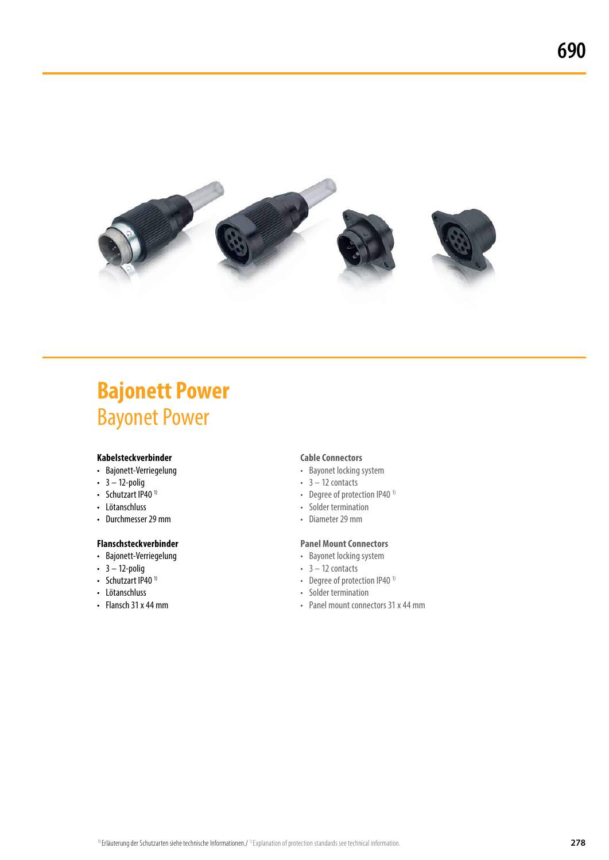

# **Bajonett Power Bayonet Power**

### **Kabelsteckverbinder**

- • Bajonett-Verriegelung
- $\cdot$  3 12-polig
- Schutzart IP40 $1$ )
- • Lötanschluss
- Durchmesser 29 mm

### **Flanschsteckverbinder**

- • Bajonett-Verriegelung
- $3 12$ -polig
- Schutzart IP40 $1$ )
- • Lötanschluss
- Flansch 31 x 44 mm

### **Cable Connectors**

- Bayonet locking system
- $\cdot$  3 12 contacts
- Degree of protection IP40<sup>1)</sup>
- • Solder termination
- • Diameter29 mm

### **Panel Mount Connectors**

- Bayonet locking system
- $3 12$  contacts
- Degree of protection IP40<sup>1)</sup>
- • Solder termination
- Panel mount connectors 31 x 44 mm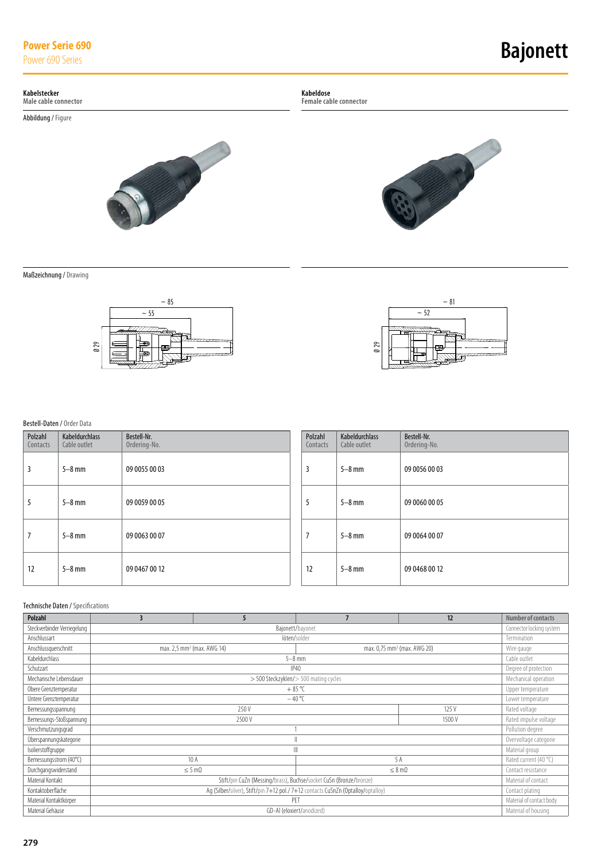# **Power Serie 690**<br>Power 690 Series

### **Bajonett**

### **Kabelstecker**

**Male cable connector**

Abbildung/ Figure



**Kabeldose**

**Female cable connector**



Maßzeichnung/ Drawing





### Bestell-Daten / Order Data

| $\emptyset$ 29<br>F<br>Œ |                                   |                             |                     | $\emptyset$ 29                 | 1999-1999 1999              |
|--------------------------|-----------------------------------|-----------------------------|---------------------|--------------------------------|-----------------------------|
|                          | Bestell-Daten / Order Data        |                             |                     |                                |                             |
| Polzahl<br>Contacts      | Kabeldurchlass<br>Cable outlet    | Bestell-Nr.<br>Ordering-No. | Polzahl<br>Contacts | Kabeldurchlass<br>Cable outlet | Bestell-Nr.<br>Ordering-No. |
| 3                        | $5-8$ mm                          | 09 0055 00 03               | 3                   | $5-8$ mm                       | 09 0056 00 03               |
| 5                        | $5-8$ mm                          | 09 0059 00 05               | 5                   | $5-8$ mm                       | 09 0060 00 05               |
| $\overline{7}$           | $5-8$ mm                          | 09 0063 00 07               | $\overline{7}$      | $5-8$ mm                       | 09 0064 00 07               |
| 12                       | $5-8$ mm                          | 09 0467 00 12               | 12                  | $5-8$ mm                       | 09 04 68 00 12              |
|                          | Technische Daten / Specifications |                             |                     |                                |                             |

| <b>Polzahl</b>              | 3                                                                                                   | 5                     |                                       | 12                                      | Number of contacts    |  |
|-----------------------------|-----------------------------------------------------------------------------------------------------|-----------------------|---------------------------------------|-----------------------------------------|-----------------------|--|
| Steckverbinder Verriegelung | Connector locking system<br>Bajonett/bayonet                                                        |                       |                                       |                                         |                       |  |
| Anschlussart                |                                                                                                     |                       | löten/solder                          |                                         | Termination           |  |
| Anschlussquerschnitt        | max. 2,5 mm <sup>2</sup> (max. AWG 14)                                                              |                       |                                       | max. 0,75 mm <sup>2</sup> (max. AWG 20) | Wire gauge            |  |
| Kabeldurchlass              |                                                                                                     |                       | $5-8$ mm                              |                                         | Cable outlet          |  |
| Schutzart                   |                                                                                                     |                       | <b>IP40</b>                           |                                         | Degree of protection  |  |
| Mechanische Lebensdauer     |                                                                                                     |                       | > 500 Steckzyklen/> 500 mating cycles |                                         | Mechanical operation  |  |
| Obere Grenztemperatur       |                                                                                                     |                       | $+85^{\circ}$ C                       |                                         | Upper temperature     |  |
| Untere Grenztemperatur      | $-40^{\circ}$ C<br>Lower temperature                                                                |                       |                                       |                                         |                       |  |
| Bemessungsspannung          | 250 V<br>125 V<br>Rated voltage                                                                     |                       |                                       |                                         |                       |  |
| Bemessungs-Stoßspannung     |                                                                                                     | Rated impulse voltage |                                       |                                         |                       |  |
| Verschmutzungsgrad          |                                                                                                     |                       |                                       |                                         | Pollution degree      |  |
| Überspannungskategorie      |                                                                                                     |                       |                                       |                                         | Overvoltage categorie |  |
| Isolierstoffgruppe          | Material group                                                                                      |                       |                                       |                                         |                       |  |
| Bemessungsstrom (40°C)      | 10 A<br>5 A<br>Rated current (40 °C)                                                                |                       |                                       |                                         |                       |  |
| Durchgangswiderstand        | $\leq$ 5 m $\Omega$<br>$\leq 8$ m $\Omega$<br>Contact resistance                                    |                       |                                       |                                         |                       |  |
| Material Kontakt            | Stift/pin CuZn (Messing/brass), Buchse/socket CuSn (Bronze/bronze)<br>Material of contact           |                       |                                       |                                         |                       |  |
| Kontaktoberfläche           | Ag (Silber/silver), Stift/pin 7+12 pol./7+12 contacts CuSnZn (Optalloy/optalloy)<br>Contact plating |                       |                                       |                                         |                       |  |
| Material Kontaktkörper      | PET<br>Material of contact body                                                                     |                       |                                       |                                         |                       |  |
| Material Gehäuse            | GD-Al (eloxiert/anodized)<br>Material of housing                                                    |                       |                                       |                                         |                       |  |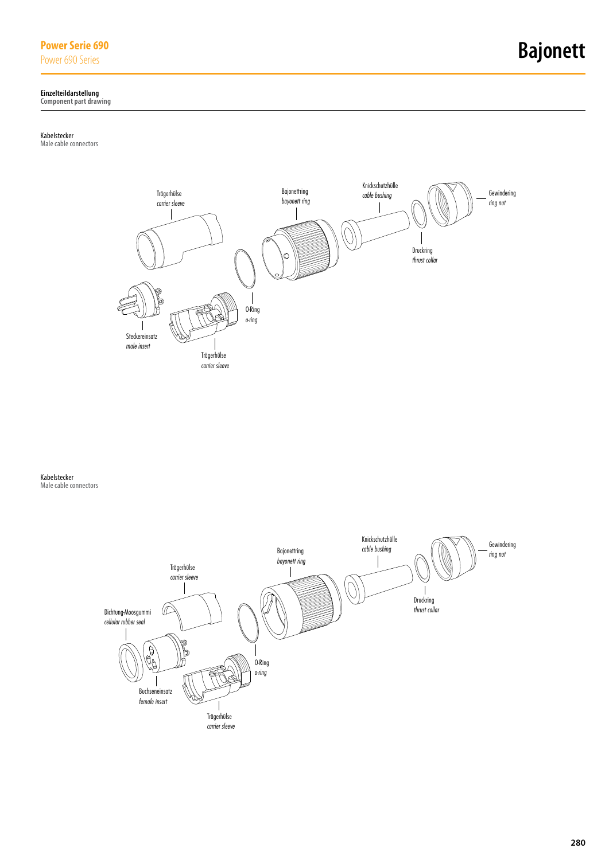### **Power Serie 690**

### **Einzelteildarstellung**

**Component part drawing**

#### Kabelstecker

Male cable connectors



Kabelstecker Male cable connectors

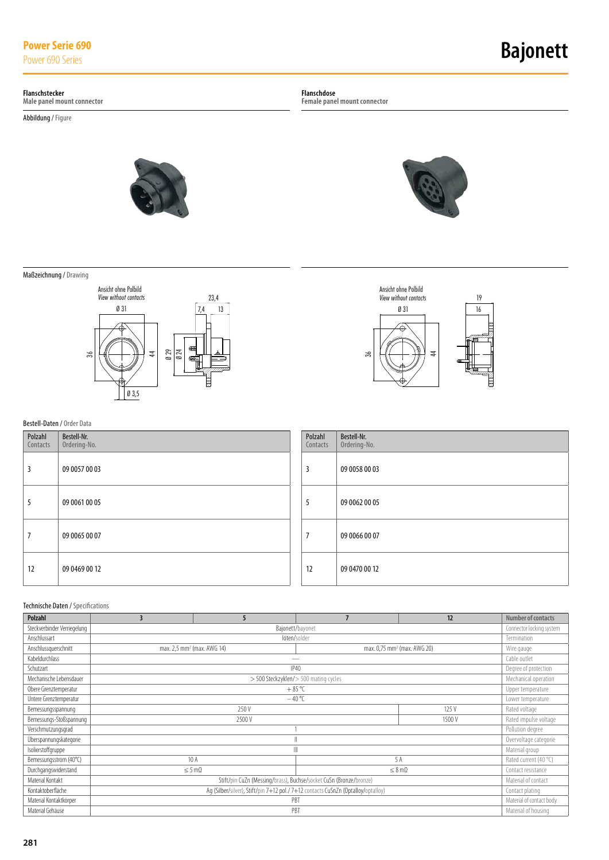# **Power Serie 690**<br>Power 690 Series

# **Bajonett**

#### **Flanschstecker**

**Male panel mount connector**

Abbildung/ Figure

**Flanschdose**

**Female panel mount connector**



Maßzeichnung/ Drawing



### Ø 31  $\overline{4}$ 19 Ansicht ohne Polbild *View without contacts* 16 36

### Bestell-Daten / Order Data

| Polzahl<br>Contacts | Bestell-Nr.<br>Ordering-No. | Polzahl<br>Contacts | Bestell-Nr.<br>Ordering-No. |
|---------------------|-----------------------------|---------------------|-----------------------------|
| 3                   | 09 0057 00 03               | 3                   | 09 0058 00 03               |
| C                   | 09 0061 00 05               | ć                   | 09 0062 00 05               |
|                     | 09 0065 00 07               | 7                   | 09 0066 00 07               |
| 12                  | 09 04 69 00 12              | 12                  | 09 0470 00 12               |

### Technische Daten / Specifications

| <b>Polzahl</b>              | 3                                                                                                   | 5                                      |                 | 12                                      | Number of contacts    |  |
|-----------------------------|-----------------------------------------------------------------------------------------------------|----------------------------------------|-----------------|-----------------------------------------|-----------------------|--|
| Steckverbinder Verriegelung | Connector locking system<br>Bajonett/bayonet                                                        |                                        |                 |                                         |                       |  |
| Anschlussart                |                                                                                                     |                                        | löten/solder    |                                         | Termination           |  |
| Anschlussquerschnitt        |                                                                                                     | max. 2,5 mm <sup>2</sup> (max. AWG 14) |                 | max. 0,75 mm <sup>2</sup> (max. AWG 20) | Wire gauge            |  |
| Kabeldurchlass              |                                                                                                     |                                        |                 |                                         | Cable outlet          |  |
| Schutzart                   |                                                                                                     |                                        | P40             |                                         | Degree of protection  |  |
| Mechanische Lebensdauer     | > 500 Steckzyklen/> 500 mating cycles                                                               |                                        |                 |                                         |                       |  |
| Obere Grenztemperatur       |                                                                                                     |                                        | $+85^{\circ}$ C |                                         | Upper temperature     |  |
| Untere Grenztemperatur      | $-40^{\circ}$<br>Lower temperature                                                                  |                                        |                 |                                         |                       |  |
| Bemessungsspannung          | 250 V<br>125 V<br>Rated voltage                                                                     |                                        |                 |                                         |                       |  |
| Bemessungs-Stoßspannung     | 1500 V<br>2500 V                                                                                    |                                        |                 |                                         |                       |  |
| Verschmutzungsgrad          |                                                                                                     |                                        |                 |                                         | Pollution degree      |  |
| Überspannungskategorie      |                                                                                                     |                                        |                 |                                         | Overvoltage categorie |  |
| Isolierstoffgruppe          |                                                                                                     |                                        |                 |                                         | Material group        |  |
| Bemessungsstrom (40°C)      | 10 A<br>5 A<br>Rated current (40 °C)                                                                |                                        |                 |                                         |                       |  |
| Durchgangswiderstand        | $\leq 5 \text{ mA}$<br>$\leq 8$ m $\Omega$<br>Contact resistance                                    |                                        |                 |                                         |                       |  |
| Material Kontakt            | Stift/pin CuZn (Messing/brass), Buchse/socket CuSn (Bronze/bronze)<br>Material of contact           |                                        |                 |                                         |                       |  |
| Kontaktoberfläche           | Ag (Silber/silver), Stift/pin 7+12 pol./7+12 contacts CuSnZn (Optalloy/optalloy)<br>Contact plating |                                        |                 |                                         |                       |  |
| Material Kontaktkörper      | Material of contact body<br>PBT                                                                     |                                        |                 |                                         |                       |  |
| Material Gehäuse            | PBT<br>Material of housing                                                                          |                                        |                 |                                         |                       |  |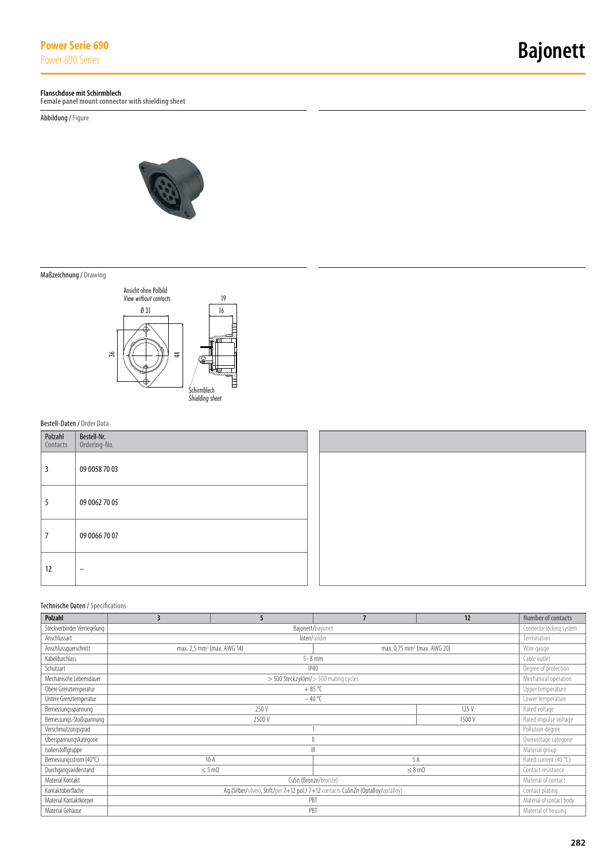#### **Flanschdose mit Schirmblech**

**Female panel mount connector with shielding sheet**

Abbildung/ Figure



Maßzeichnung/ Drawing



### Bestell-Daten / Order Data

| Polzahl<br>Contacts | Bestell-Nr.<br>Ordering-No. |
|---------------------|-----------------------------|
| 3                   | 09 0058 70 03               |
| 5                   | 09 0062 70 05               |
| 7                   | 09 0066 70 07               |
| 12                  |                             |

### Technische Daten / Specifications

| <b>Polzahl</b>                                  | 3                                                                                                   | 5                                      |                                       | 12                                      | Number of contacts    |  |
|-------------------------------------------------|-----------------------------------------------------------------------------------------------------|----------------------------------------|---------------------------------------|-----------------------------------------|-----------------------|--|
| Steckverbinder Verriegelung<br>Bajonett/bayonet |                                                                                                     |                                        |                                       |                                         |                       |  |
| Anschlussart                                    |                                                                                                     |                                        | löten/solder                          |                                         | Termination           |  |
| Anschlussquerschnitt                            |                                                                                                     | max. 2,5 mm <sup>2</sup> (max. AWG 14) |                                       | max. 0,75 mm <sup>2</sup> (max. AWG 20) | Wire gauge            |  |
| Kabeldurchlass                                  |                                                                                                     |                                        | $5-8$ mm                              |                                         | Cable outlet          |  |
| Schutzart                                       |                                                                                                     |                                        | <b>IP40</b>                           |                                         | Degree of protection  |  |
| Mechanische Lebensdauer                         |                                                                                                     |                                        | > 500 Steckzyklen/> 500 mating cycles |                                         | Mechanical operation  |  |
| Obere Grenztemperatur                           |                                                                                                     |                                        | $+85^{\circ}$ C                       |                                         | Upper temperature     |  |
| Untere Grenztemperatur                          | $-40 °C$<br>Lower temperature                                                                       |                                        |                                       |                                         |                       |  |
| Bemessungsspannung                              | 250 V<br>125 V                                                                                      |                                        |                                       |                                         |                       |  |
| Bemessungs-Stoßspannung                         | 2500 V<br>1500 V                                                                                    |                                        |                                       |                                         | Rated impulse voltage |  |
| Verschmutzungsgrad                              |                                                                                                     |                                        |                                       |                                         | Pollution degree      |  |
| Überspannungskategorie                          | I                                                                                                   |                                        |                                       |                                         | Overvoltage categorie |  |
| Isolierstoffgruppe                              |                                                                                                     |                                        |                                       |                                         | Material group        |  |
| Bemessungsstrom (40°C)                          | 10A<br>5 A                                                                                          |                                        |                                       |                                         |                       |  |
| Durchgangswiderstand                            | $\leq 5$ m $\Omega$<br>$\leq 8$ m $\Omega$                                                          |                                        |                                       |                                         |                       |  |
| Material Kontakt                                | CuSn (Bronze/bronze)<br>Material of contact                                                         |                                        |                                       |                                         |                       |  |
| Kontaktoberfläche                               | Ag (Silber/silver), Stift/pin 7+12 pol./7+12 contacts CuSnZn (Optalloy/optalloy)<br>Contact plating |                                        |                                       |                                         |                       |  |
| Material Kontaktkörper                          | Material of contact body<br>PBT                                                                     |                                        |                                       |                                         |                       |  |
| Material Gehäuse                                | PBT<br>Material of housing                                                                          |                                        |                                       |                                         |                       |  |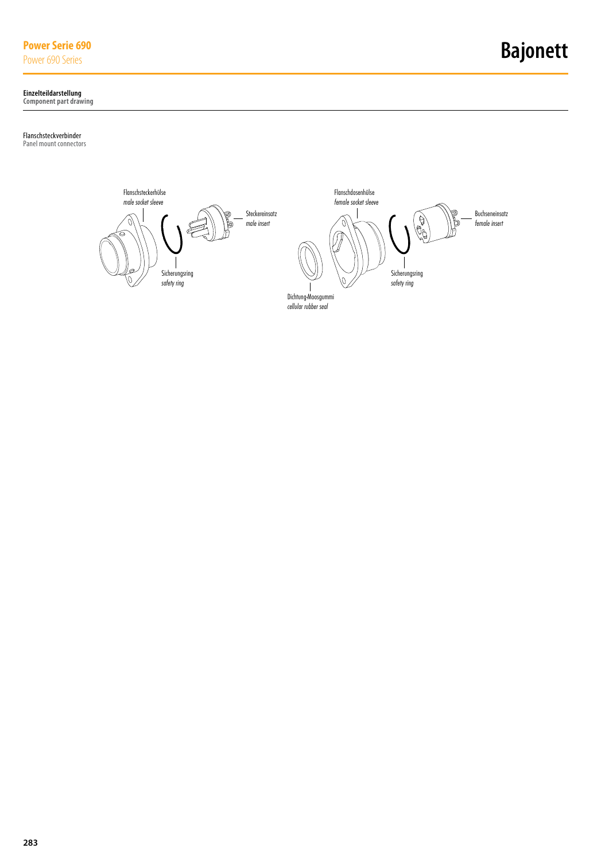### **Power Serie 690**

### **Einzelteildarstellung**

**Component part drawing**

### Flanschsteckverbinder

Panel mount connectors